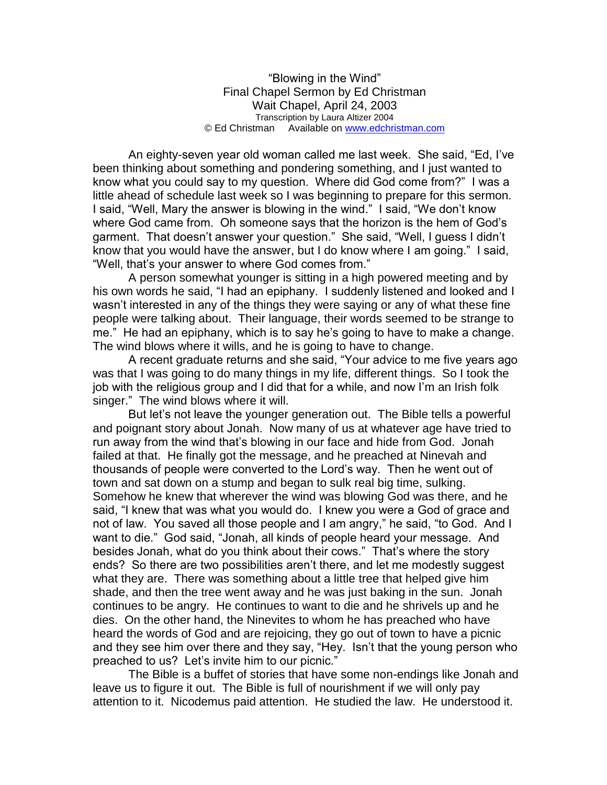"Blowing in the Wind" Final Chapel Sermon by Ed Christman Wait Chapel, April 24, 2003 Transcription by Laura Altizer 2004 © Ed Christman Available on [www.edchristman.com](http://www.edchristman.com/)

An eighty-seven year old woman called me last week. She said, "Ed, I've been thinking about something and pondering something, and I just wanted to know what you could say to my question. Where did God come from?" I was a little ahead of schedule last week so I was beginning to prepare for this sermon. I said, "Well, Mary the answer is blowing in the wind." I said, "We don't know where God came from. Oh someone says that the horizon is the hem of God's garment. That doesn't answer your question." She said, "Well, I guess I didn't know that you would have the answer, but I do know where I am going." I said, "Well, that's your answer to where God comes from."

A person somewhat younger is sitting in a high powered meeting and by his own words he said, "I had an epiphany. I suddenly listened and looked and I wasn't interested in any of the things they were saying or any of what these fine people were talking about. Their language, their words seemed to be strange to me." He had an epiphany, which is to say he's going to have to make a change. The wind blows where it wills, and he is going to have to change.

A recent graduate returns and she said, "Your advice to me five years ago was that I was going to do many things in my life, different things. So I took the job with the religious group and I did that for a while, and now I'm an Irish folk singer." The wind blows where it will.

But let's not leave the younger generation out. The Bible tells a powerful and poignant story about Jonah. Now many of us at whatever age have tried to run away from the wind that's blowing in our face and hide from God. Jonah failed at that. He finally got the message, and he preached at Ninevah and thousands of people were converted to the Lord's way. Then he went out of town and sat down on a stump and began to sulk real big time, sulking. Somehow he knew that wherever the wind was blowing God was there, and he said, "I knew that was what you would do. I knew you were a God of grace and not of law. You saved all those people and I am angry," he said, "to God. And I want to die." God said, "Jonah, all kinds of people heard your message. And besides Jonah, what do you think about their cows." That's where the story ends? So there are two possibilities aren't there, and let me modestly suggest what they are. There was something about a little tree that helped give him shade, and then the tree went away and he was just baking in the sun. Jonah continues to be angry. He continues to want to die and he shrivels up and he dies. On the other hand, the Ninevites to whom he has preached who have heard the words of God and are rejoicing, they go out of town to have a picnic and they see him over there and they say, "Hey. Isn't that the young person who preached to us? Let's invite him to our picnic."

The Bible is a buffet of stories that have some non-endings like Jonah and leave us to figure it out. The Bible is full of nourishment if we will only pay attention to it. Nicodemus paid attention. He studied the law. He understood it.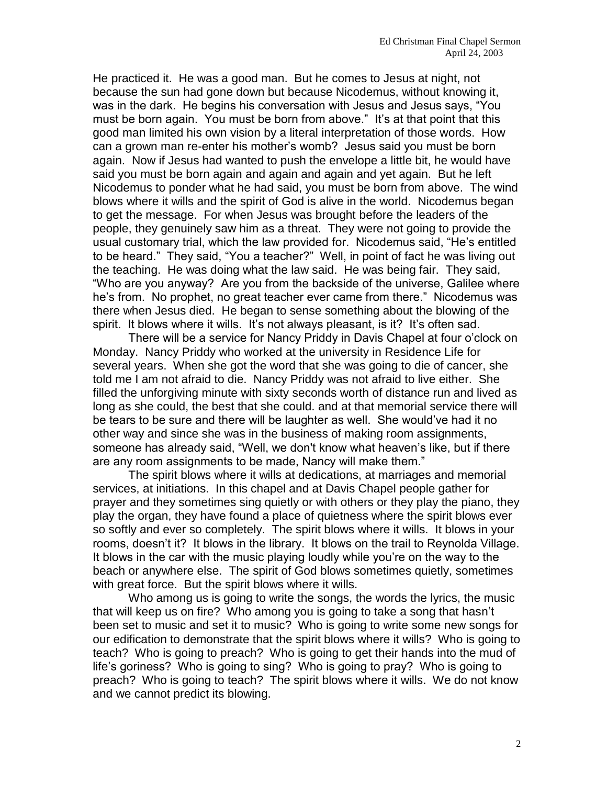He practiced it. He was a good man. But he comes to Jesus at night, not because the sun had gone down but because Nicodemus, without knowing it, was in the dark. He begins his conversation with Jesus and Jesus says, "You must be born again. You must be born from above." It's at that point that this good man limited his own vision by a literal interpretation of those words. How can a grown man re-enter his mother's womb? Jesus said you must be born again. Now if Jesus had wanted to push the envelope a little bit, he would have said you must be born again and again and again and yet again. But he left Nicodemus to ponder what he had said, you must be born from above. The wind blows where it wills and the spirit of God is alive in the world. Nicodemus began to get the message. For when Jesus was brought before the leaders of the people, they genuinely saw him as a threat. They were not going to provide the usual customary trial, which the law provided for. Nicodemus said, "He's entitled to be heard." They said, "You a teacher?" Well, in point of fact he was living out the teaching. He was doing what the law said. He was being fair. They said, "Who are you anyway? Are you from the backside of the universe, Galilee where he's from. No prophet, no great teacher ever came from there." Nicodemus was there when Jesus died. He began to sense something about the blowing of the spirit. It blows where it wills. It's not always pleasant, is it? It's often sad.

There will be a service for Nancy Priddy in Davis Chapel at four o'clock on Monday. Nancy Priddy who worked at the university in Residence Life for several years. When she got the word that she was going to die of cancer, she told me I am not afraid to die. Nancy Priddy was not afraid to live either. She filled the unforgiving minute with sixty seconds worth of distance run and lived as long as she could, the best that she could. and at that memorial service there will be tears to be sure and there will be laughter as well. She would've had it no other way and since she was in the business of making room assignments, someone has already said, "Well, we don't know what heaven's like, but if there are any room assignments to be made, Nancy will make them."

The spirit blows where it wills at dedications, at marriages and memorial services, at initiations. In this chapel and at Davis Chapel people gather for prayer and they sometimes sing quietly or with others or they play the piano, they play the organ, they have found a place of quietness where the spirit blows ever so softly and ever so completely. The spirit blows where it wills. It blows in your rooms, doesn't it? It blows in the library. It blows on the trail to Reynolda Village. It blows in the car with the music playing loudly while you're on the way to the beach or anywhere else. The spirit of God blows sometimes quietly, sometimes with great force. But the spirit blows where it wills.

Who among us is going to write the songs, the words the lyrics, the music that will keep us on fire? Who among you is going to take a song that hasn't been set to music and set it to music? Who is going to write some new songs for our edification to demonstrate that the spirit blows where it wills? Who is going to teach? Who is going to preach? Who is going to get their hands into the mud of life's goriness? Who is going to sing? Who is going to pray? Who is going to preach? Who is going to teach? The spirit blows where it wills. We do not know and we cannot predict its blowing.